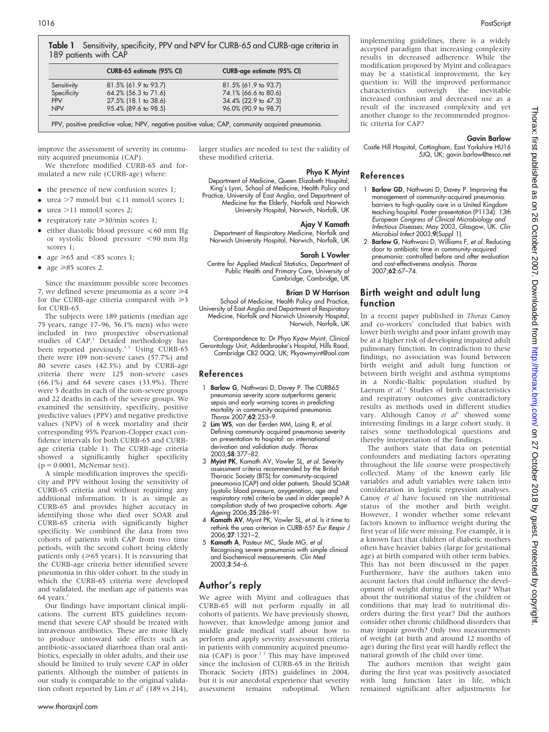|             | CURB-65 estimate (95% CI) | <b>CURB-age estimate (95% CI)</b> |
|-------------|---------------------------|-----------------------------------|
| Sensitivity | 81.5% (61.9 to 93.7)      | 81.5% (61.9 to 93.7)              |
| Specificity | 64.2% (56.3 to 71.6)      | 74.1% (66.6 to 80.6)              |
| <b>PPV</b>  | 27.5% (18.1 to 38.6)      | 34.4% (22.9 to 47.3)              |
| <b>NPV</b>  | 95.4% (89.6 to 98.5)      | 96.0% (90.9 to 98.7)              |

improve the assessment of severity in community acquired pneumonia (CAP).

We therefore modified CURB-65 and formulated a new rule (CURB-age) where:

- $\bullet$  the presence of new confusion scores 1;
- urea  $>7$  mmol/l but  $\leq 11$  mmol/l scores 1;
- $\bullet$  urea >11 mmol/l scores 2:
- respiratory rate  $\geq 30$ /min scores 1;
- either diastolic blood pressure  $\leq 60$  mm Hg or systolic blood pressure <90 mm Hg scores 1;
- age  $\geq 65$  and  $\leq 85$  scores 1;
- age  $\geq 85$  scores 2.

Since the maximum possible score becomes 7, we defined severe pneumonia as a score  $\geq 4$ for the CURB-age criteria compared with  $\geq 3$ for CURB-65.

The subjects were 189 patients (median age 75 years, range 17–96, 56.1% men) who were included in two prospective observational studies of CAP.<sup>3</sup> Detailed methodology has been reported previously.<sup>35</sup> Using CURB-65 there were 109 non-severe cases (57.7%) and 80 severe cases (42.3%) and by CURB-age criteria there were 125 non-severe cases (66.1%) and 64 severe cases (33.9%). There were 5 deaths in each of the non-severe groups and 22 deaths in each of the severe groups. We examined the sensitivity, specificity, positive predictive values (PPV) and negative predictive values (NPV) of 6 week mortality and their corresponding 95% Pearson-Clopper exact confidence intervals for both CURB-65 and CURBage criteria (table 1). The CURB-age criteria showed a significantly higher specificity  $(p = 0.0001,$  McNemar test).

A simple modification improves the specificity and PPV without losing the sensitivity of CURB-65 criteria and without requiring any additional information. It is as simple as CURB-65 and provides higher accuracy in identifying those who died over SOAR and CURB-65 criteria with significantly higher specificity. We combined the data from two cohorts of patients with CAP from two time periods, with the second cohort being elderly patients only  $(\geq 65$  years). It is reassuring that the CURB-age criteria better identified severe pneumonia in this older cohort. In the study in which the CURB-65 criteria were developed and validated, the median age of patients was 64 years.

Our findings have important clinical implications. The current BTS guidelines recommend that severe CAP should be treated with intravenous antibiotics. These are more likely to produce untoward side effects such as antibiotic-associated diarrhoea than oral antibiotics, especially in older adults, and their use should be limited to truly severe CAP in older patients. Although the number of patients in our study is comparable to the original validation cohort reported by Lim et  $al^2$  (189 vs 214),

larger studies are needed to test the validity of these modified criteria.

## Phyo K Myint

Department of Medicine, Queen Elizabeth Hospital, King's Lynn, School of Medicine, Health Policy and Practice, University of East Anglia, and Department of Medicine for the Elderly, Norfolk and Norwich University Hospital, Norwich, Norfolk, UK

## Ajay V Kamath

Department of Respiratory Medicine, Norfolk and Norwich University Hospital, Norwich, Norfolk, UK

#### Sarah L Vowler

Centre for Applied Medical Statistics, Department of Public Health and Primary Care, University of Cambridge, Cambridge, UK

#### Brian D W Harrison

School of Medicine, Health Policy and Practice, University of East Anglia and Department of Respiratory Medicine, Norfolk and Norwich University Hospital, Norwich, Norfolk, UK

Correspondence to: Dr Phyo Kyaw Myint, Clinical Gerontology Unit, Addenbrooke's Hospital, Hills Road, Cambridge CB2 0QQ, UK; Pkyawmyint@aol.com

### References

- 1 Barlow G, Nathwani D, Davey P. The CURB65 pneumonia severity score outperforms generic sepsis and early warning scores in predicting mortality in community-acquired pneumonia. Thorax 2007;62:253–9.
- 2 Lim WS, van der Eerden MM, Laing R, et al. Defining community acquired pneumonia severity on presentation to hospital: an international derivation and validation study. Thorax 2003;58:377–82.
- 3 Myint PK, Kamath AV, Vowler SL, et al. Severity assessment criteria recommended by the British Thoracic Society (BTS) for community-acquired pneumonia (CAP) and older patients. Should SOAR (systolic blood pressure, oxygenation, age and respiratory rate) criteria be used in older people? A compilation study of two prospective cohorts. Age Ageing 2006;35:286-91.
- 4 Kamath AV, Myint PK, Vowler SL, et al. Is it time to rethink the urea criterion in CURB-65? Eur Respir J 2006;27:1321–2.
- 5 Kamath A, Pasteur MC, Slade MG, et al. Recognising severe pneumonia with simple clinical and biochemical measurements. Clin Med 2003;3:54–6.

# Author's reply

We agree with Myint and colleagues that CURB-65 will not perform equally in all cohorts of patients. We have previously shown, however, that knowledge among junior and middle grade medical staff about how to perform and apply severity assessment criteria in patients with community acquired pneumonia (CAP) is poor.<sup>12</sup> This may have improved since the inclusion of CURB-65 in the British Thoracic Society (BTS) guidelines in 2004, but it is our anecdotal experience that severity assessment remains suboptimal. When

implementing guidelines, there is a widely accepted paradigm that increasing complexity results in decreased adherence. While the modification proposed by Myint and colleagues may be a statistical improvement, the key question is: Will the improved performance characteristics outweigh the inevitable increased confusion and decreased use as a result of the increased complexity and yet another change to the recommended prognostic criteria for CAP?

#### Gavin Barlow

Castle Hill Hospital, Cottingham, East Yorkshire HU16 5JQ, UK; gavin.barlow@tesco.net

# References

- 1 Barlow GD, Nathwani D, Davey P. Improving the management of community-acquired pneumonia: barriers to high-quality care in a United Kingdom teaching hospital. Poster presentation (P1134). 13th European Congress of Clinical Microbiology and Infectious Diseases; May 2003, Glasgow, UK. Clin Microbiol Infect 2003;9(Suppl 1).
- 2 Barlow G, Nathwani D, Williams F, et al. Reducing door to antibiotic time in community-acquired pneumonia: controlled before and after evaluation and cost-effectiveness analysis. Thorax 2007;62:67–74.

# Birth weight and adult lung function

In a recent paper published in Thorax Canoy and co-workers<sup>1</sup> concluded that babies with lower birth weight and poor infant growth may be at a higher risk of developing impaired adult pulmonary function. In contradiction to these findings, no association was found between birth weight and adult lung function or between birth weight and asthma symptoms in a Nordic-Baltic population studied by Laerum et al.<sup>2</sup> Studies of birth characteristics and respiratory outcomes give contradictory results as methods used in different studies vary. Although Canoy et al<sup>1</sup> showed some interesting findings in a large cohort study, it raises some methodological questions and thereby interpretation of the findings.

The authors state that data on potential confounders and mediating factors operating throughout the life course were prospectively collected. Many of the known early life variables and adult variables were taken into consideration in logistic regression analyses. Canoy et al have focused on the nutritional status of the mother and birth weight. However, I wonder whether some relevant factors known to influence weight during the first year of life were missing. For example, it is a known fact that children of diabetic mothers often have heavier babies (large for gestational age) at birth compared with other term babies. This has not been discussed in the paper. Furthermore, have the authors taken into account factors that could influence the development of weight during the first year? What about the nutritional status of the children or conditions that may lead to nutritional disorders during the first year? Did the authors consider other chronic childhood disorders that may impair growth? Only two measurements of weight (at birth and around 12 months of age) during the first year will hardly reflect the natural growth of the child over time.

The authors mention that weight gain during the first year was positively associated with lung function later in life, which remained significant after adjustments for